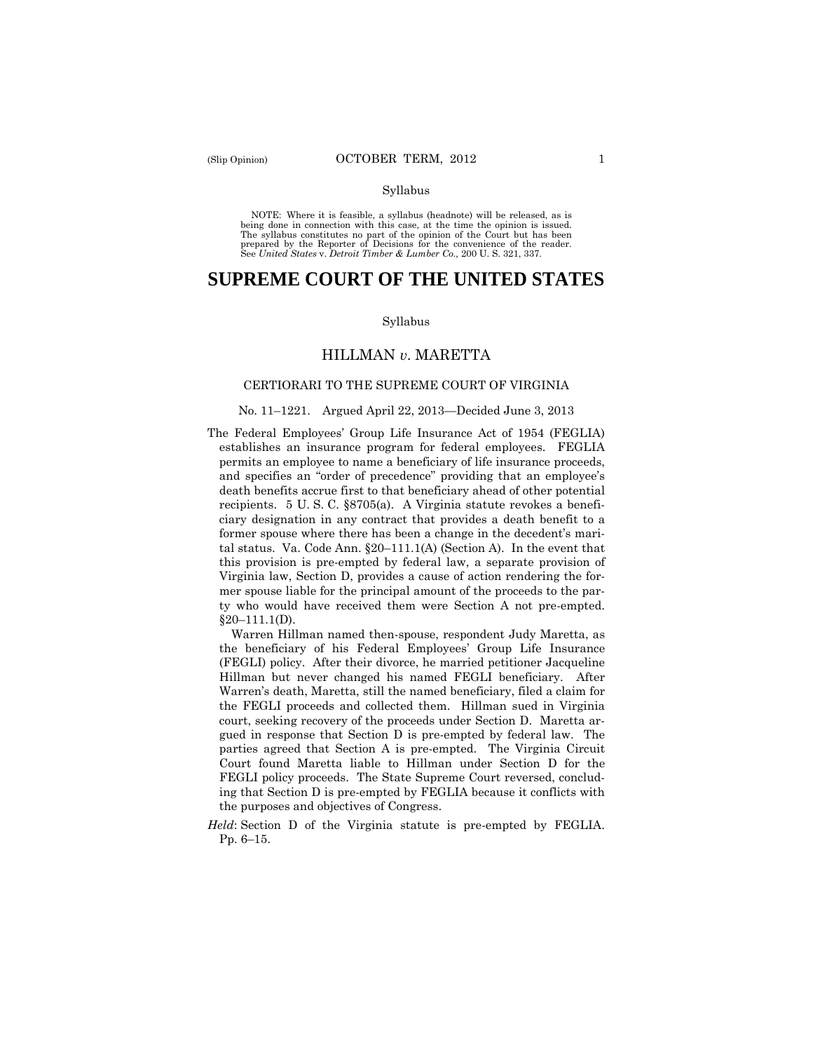#### Syllabus

 NOTE: Where it is feasible, a syllabus (headnote) will be released, as is being done in connection with this case, at the time the opinion is issued. The syllabus constitutes no part of the opinion of the Court but has been<br>prepared by the Reporter of Decisions for the convenience of the reader.<br>See United States v. Detroit Timber & Lumber Co., 200 U.S. 321, 337.

# **SUPREME COURT OF THE UNITED STATES**

#### Syllabus

# HILLMAN *v*. MARETTA

#### CERTIORARI TO THE SUPREME COURT OF VIRGINIA

#### No. 11–1221. Argued April 22, 2013—Decided June 3, 2013

The Federal Employees' Group Life Insurance Act of 1954 (FEGLIA) establishes an insurance program for federal employees. FEGLIA permits an employee to name a beneficiary of life insurance proceeds, and specifies an "order of precedence" providing that an employee's death benefits accrue first to that beneficiary ahead of other potential recipients. 5 U. S. C. §8705(a). A Virginia statute revokes a beneficiary designation in any contract that provides a death benefit to a former spouse where there has been a change in the decedent's marital status. Va. Code Ann. §20–111.1(A) (Section A). In the event that this provision is pre-empted by federal law, a separate provision of Virginia law, Section D, provides a cause of action rendering the former spouse liable for the principal amount of the proceeds to the party who would have received them were Section A not pre-empted.  $§20-111.1(D).$ 

Warren Hillman named then-spouse, respondent Judy Maretta, as the beneficiary of his Federal Employees' Group Life Insurance (FEGLI) policy. After their divorce, he married petitioner Jacqueline Hillman but never changed his named FEGLI beneficiary. After Warren's death, Maretta, still the named beneficiary, filed a claim for the FEGLI proceeds and collected them. Hillman sued in Virginia court, seeking recovery of the proceeds under Section D. Maretta argued in response that Section D is pre-empted by federal law. The parties agreed that Section A is pre-empted. The Virginia Circuit Court found Maretta liable to Hillman under Section D for the FEGLI policy proceeds. The State Supreme Court reversed, concluding that Section D is pre-empted by FEGLIA because it conflicts with the purposes and objectives of Congress.

*Held*: Section D of the Virginia statute is pre-empted by FEGLIA. Pp. 6–15.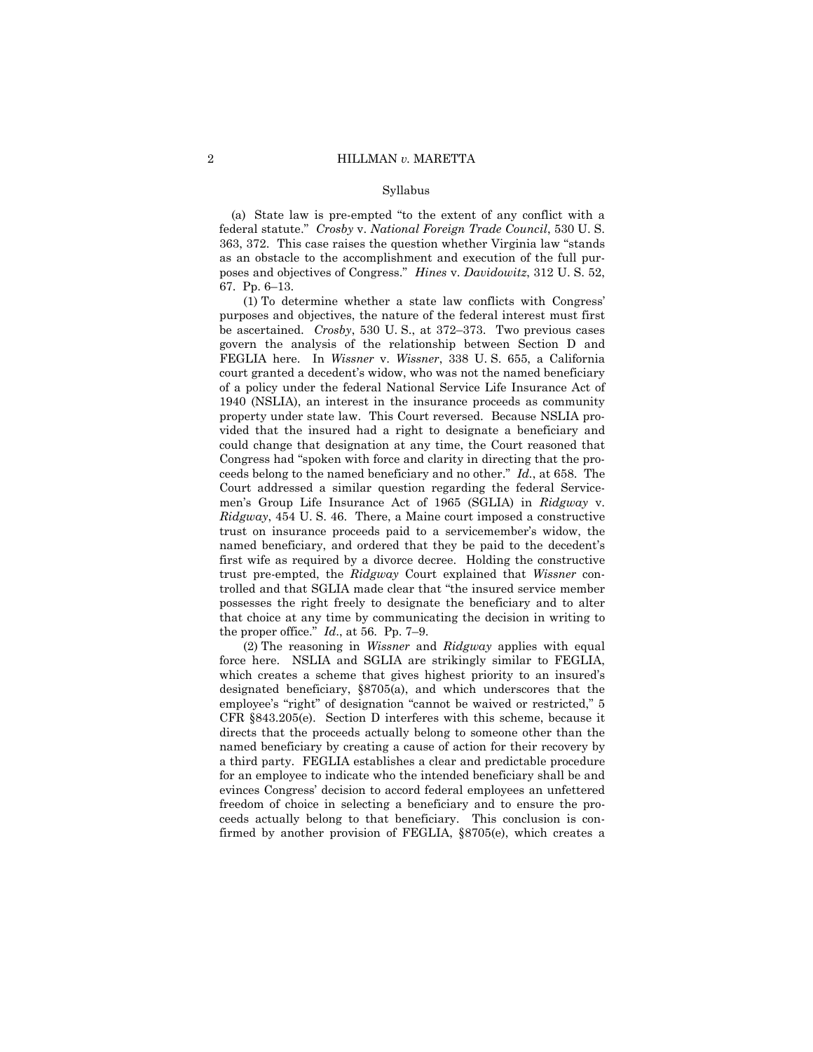#### Syllabus

(a) State law is pre-empted "to the extent of any conflict with a federal statute." *Crosby* v. *National Foreign Trade Council*, 530 U. S. 363, 372. This case raises the question whether Virginia law "stands as an obstacle to the accomplishment and execution of the full purposes and objectives of Congress." *Hines* v. *Davidowitz*, 312 U. S. 52, 67. Pp. 6–13.

(1) To determine whether a state law conflicts with Congress' purposes and objectives, the nature of the federal interest must first be ascertained. *Crosby*, 530 U. S., at 372–373. Two previous cases govern the analysis of the relationship between Section D and FEGLIA here. In *Wissner* v. *Wissner*, 338 U. S. 655, a California court granted a decedent's widow, who was not the named beneficiary of a policy under the federal National Service Life Insurance Act of 1940 (NSLIA), an interest in the insurance proceeds as community property under state law. This Court reversed. Because NSLIA provided that the insured had a right to designate a beneficiary and could change that designation at any time, the Court reasoned that Congress had "spoken with force and clarity in directing that the proceeds belong to the named beneficiary and no other." *Id.*, at 658. The Court addressed a similar question regarding the federal Servicemen's Group Life Insurance Act of 1965 (SGLIA) in *Ridgway* v. *Ridgway*, 454 U. S. 46. There, a Maine court imposed a constructive trust on insurance proceeds paid to a servicemember's widow, the named beneficiary, and ordered that they be paid to the decedent's first wife as required by a divorce decree. Holding the constructive trust pre-empted, the *Ridgway* Court explained that *Wissner* controlled and that SGLIA made clear that "the insured service member possesses the right freely to designate the beneficiary and to alter that choice at any time by communicating the decision in writing to the proper office." *Id*., at 56. Pp. 7–9.

(2) The reasoning in *Wissner* and *Ridgway* applies with equal force here. NSLIA and SGLIA are strikingly similar to FEGLIA, which creates a scheme that gives highest priority to an insured's designated beneficiary, §8705(a), and which underscores that the employee's "right" of designation "cannot be waived or restricted," 5 CFR §843.205(e). Section D interferes with this scheme, because it directs that the proceeds actually belong to someone other than the named beneficiary by creating a cause of action for their recovery by a third party. FEGLIA establishes a clear and predictable procedure for an employee to indicate who the intended beneficiary shall be and evinces Congress' decision to accord federal employees an unfettered freedom of choice in selecting a beneficiary and to ensure the proceeds actually belong to that beneficiary. This conclusion is confirmed by another provision of FEGLIA, §8705(e), which creates a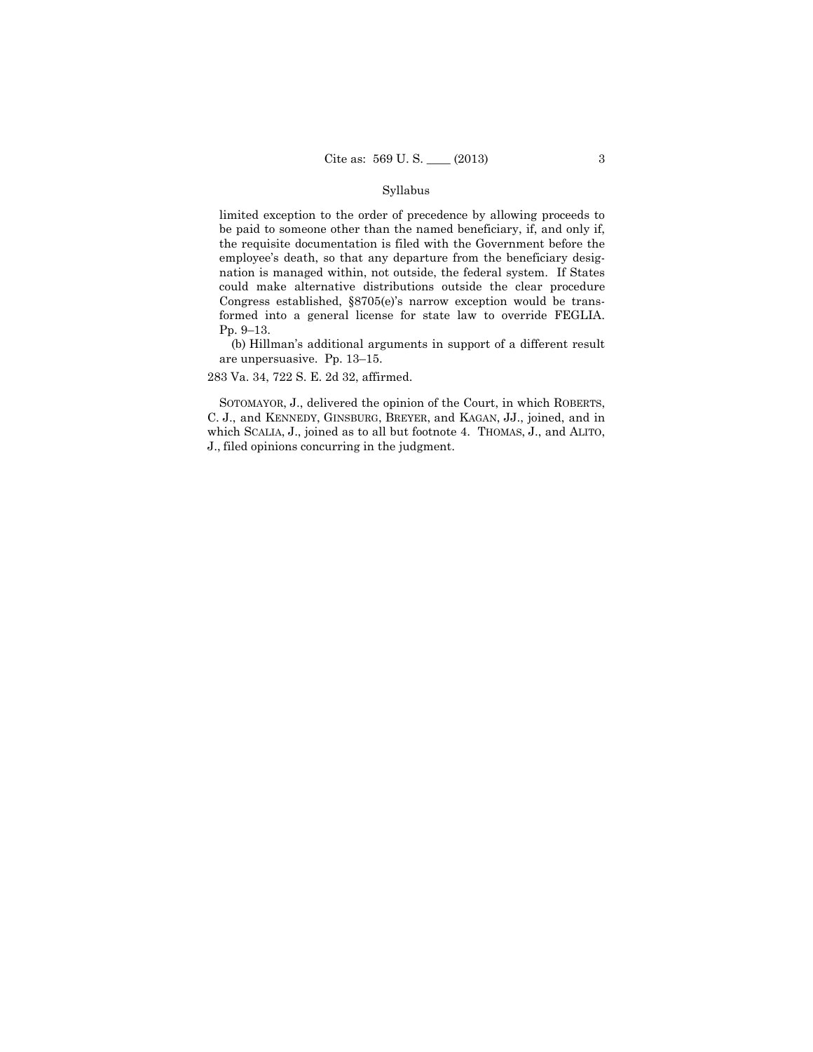### Syllabus

 formed into a general license for state law to override FEGLIA. limited exception to the order of precedence by allowing proceeds to be paid to someone other than the named beneficiary, if, and only if, the requisite documentation is filed with the Government before the employee's death, so that any departure from the beneficiary designation is managed within, not outside, the federal system. If States could make alternative distributions outside the clear procedure Congress established, §8705(e)'s narrow exception would be trans-Pp. 9–13.

(b) Hillman's additional arguments in support of a different result are unpersuasive. Pp. 13–15.

283 Va. 34, 722 S. E. 2d 32, affirmed.

 C. J., and KENNEDY, GINSBURG, BREYER, and KAGAN, JJ., joined, and in SOTOMAYOR, J., delivered the opinion of the Court, in which ROBERTS, which SCALIA, J., joined as to all but footnote 4. THOMAS, J., and ALITO, J., filed opinions concurring in the judgment.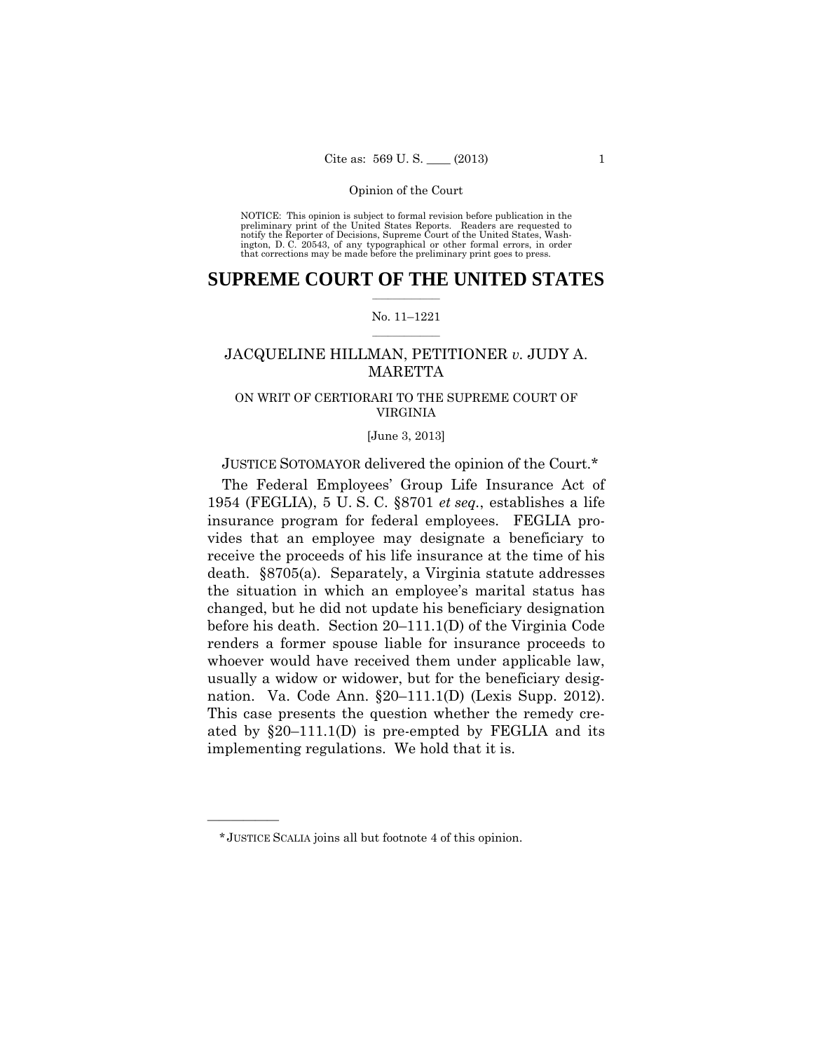preliminary print of the United States Reports. Readers are requested to notify the Reporter of Decisions, Supreme Court of the United States, Wash- ington, D. C. 20543, of any typographical or other formal errors, in order that corrections may be made before the preliminary print goes to press. NOTICE: This opinion is subject to formal revision before publication in the

# $\frac{1}{2}$  , where  $\frac{1}{2}$ **SUPREME COURT OF THE UNITED STATES**

### $\frac{1}{2}$  ,  $\frac{1}{2}$  ,  $\frac{1}{2}$  ,  $\frac{1}{2}$  ,  $\frac{1}{2}$  ,  $\frac{1}{2}$ No. 11–1221

# JACQUELINE HILLMAN, PETITIONER *v.* JUDY A. **MARETTA**

# ON WRIT OF CERTIORARI TO THE SUPREME COURT OF VIRGINIA

### [June 3, 2013]

# JUSTICE SOTOMAYOR delivered the opinion of the Court.\*

The Federal Employees' Group Life Insurance Act of 1954 (FEGLIA), 5 U. S. C. §8701 *et seq.*, establishes a life insurance program for federal employees. FEGLIA provides that an employee may designate a beneficiary to receive the proceeds of his life insurance at the time of his death. §8705(a). Separately, a Virginia statute addresses the situation in which an employee's marital status has changed, but he did not update his beneficiary designation before his death. Section 20–111.1(D) of the Virginia Code renders a former spouse liable for insurance proceeds to whoever would have received them under applicable law, usually a widow or widower, but for the beneficiary designation. Va. Code Ann. §20–111.1(D) (Lexis Supp. 2012). This case presents the question whether the remedy created by  $\S20-111.1(D)$  is pre-empted by FEGLIA and its implementing regulations. We hold that it is.

<sup>\*</sup> JUSTICE SCALIA joins all but footnote 4 of this opinion.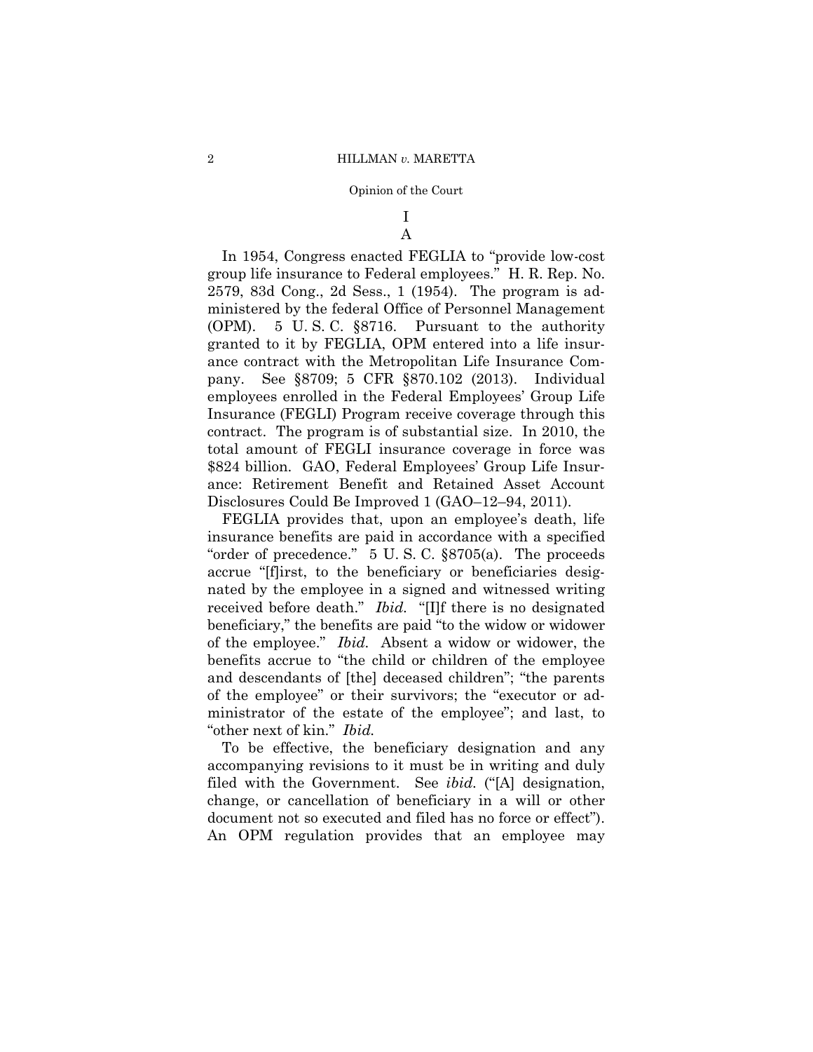# I A

In 1954, Congress enacted FEGLIA to "provide low-cost group life insurance to Federal employees." H. R. Rep. No. 2579, 83d Cong., 2d Sess., 1 (1954). The program is administered by the federal Office of Personnel Management (OPM). 5 U. S. C. §8716. Pursuant to the authority granted to it by FEGLIA, OPM entered into a life insurance contract with the Metropolitan Life Insurance Company. See §8709; 5 CFR §870.102 (2013). Individual employees enrolled in the Federal Employees' Group Life Insurance (FEGLI) Program receive coverage through this contract. The program is of substantial size. In 2010, the total amount of FEGLI insurance coverage in force was \$824 billion. GAO, Federal Employees' Group Life Insurance: Retirement Benefit and Retained Asset Account Disclosures Could Be Improved 1 (GAO–12–94, 2011).

 received before death." *Ibid.* "[I]f there is no designated FEGLIA provides that, upon an employee's death, life insurance benefits are paid in accordance with a specified "order of precedence." 5 U. S. C. §8705(a). The proceeds accrue "[f]irst, to the beneficiary or beneficiaries designated by the employee in a signed and witnessed writing beneficiary," the benefits are paid "to the widow or widower of the employee." *Ibid.* Absent a widow or widower, the benefits accrue to "the child or children of the employee and descendants of [the] deceased children"; "the parents of the employee" or their survivors; the "executor or administrator of the estate of the employee"; and last, to "other next of kin." *Ibid.* 

To be effective, the beneficiary designation and any accompanying revisions to it must be in writing and duly filed with the Government. See *ibid.* ("[A] designation, change, or cancellation of beneficiary in a will or other document not so executed and filed has no force or effect"). An OPM regulation provides that an employee may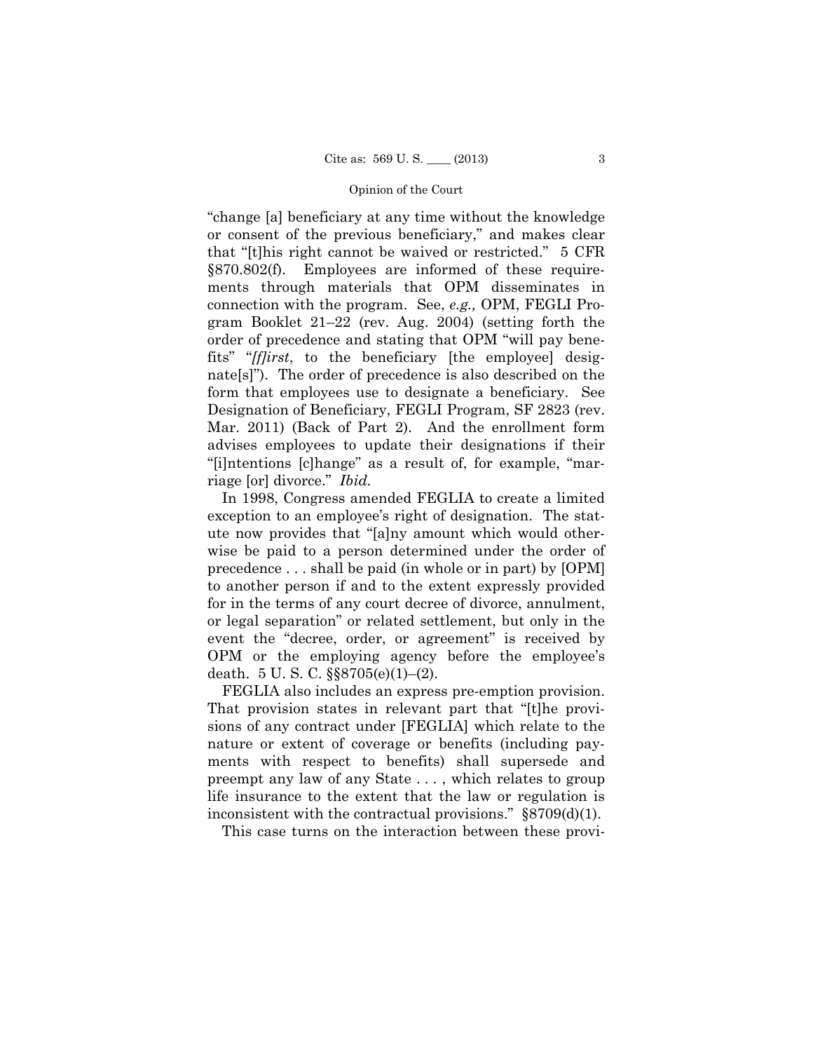Mar. 2011) (Back of Part 2). And the enrollment form "change [a] beneficiary at any time without the knowledge or consent of the previous beneficiary," and makes clear that "[t]his right cannot be waived or restricted." 5 CFR §870.802(f). Employees are informed of these requirements through materials that OPM disseminates in connection with the program. See, *e.g.,* OPM, FEGLI Program Booklet 21–22 (rev. Aug. 2004) (setting forth the order of precedence and stating that OPM "will pay benefits" "*[f]irst*, to the beneficiary [the employee] designate[s]"). The order of precedence is also described on the form that employees use to designate a beneficiary. See Designation of Beneficiary, FEGLI Program, SF 2823 (rev. advises employees to update their designations if their "[i]ntentions [c]hange" as a result of, for example, "marriage [or] divorce." *Ibid.* 

In 1998, Congress amended FEGLIA to create a limited exception to an employee's right of designation. The statute now provides that "[a]ny amount which would otherwise be paid to a person determined under the order of precedence . . . shall be paid (in whole or in part) by [OPM] to another person if and to the extent expressly provided for in the terms of any court decree of divorce, annulment, or legal separation" or related settlement, but only in the event the "decree, order, or agreement" is received by OPM or the employing agency before the employee's death. 5 U. S. C. §§8705(e)(1)–(2).

FEGLIA also includes an express pre-emption provision. That provision states in relevant part that "[t]he provisions of any contract under [FEGLIA] which relate to the nature or extent of coverage or benefits (including payments with respect to benefits) shall supersede and preempt any law of any State . . . , which relates to group life insurance to the extent that the law or regulation is inconsistent with the contractual provisions." §8709(d)(1).

This case turns on the interaction between these provi-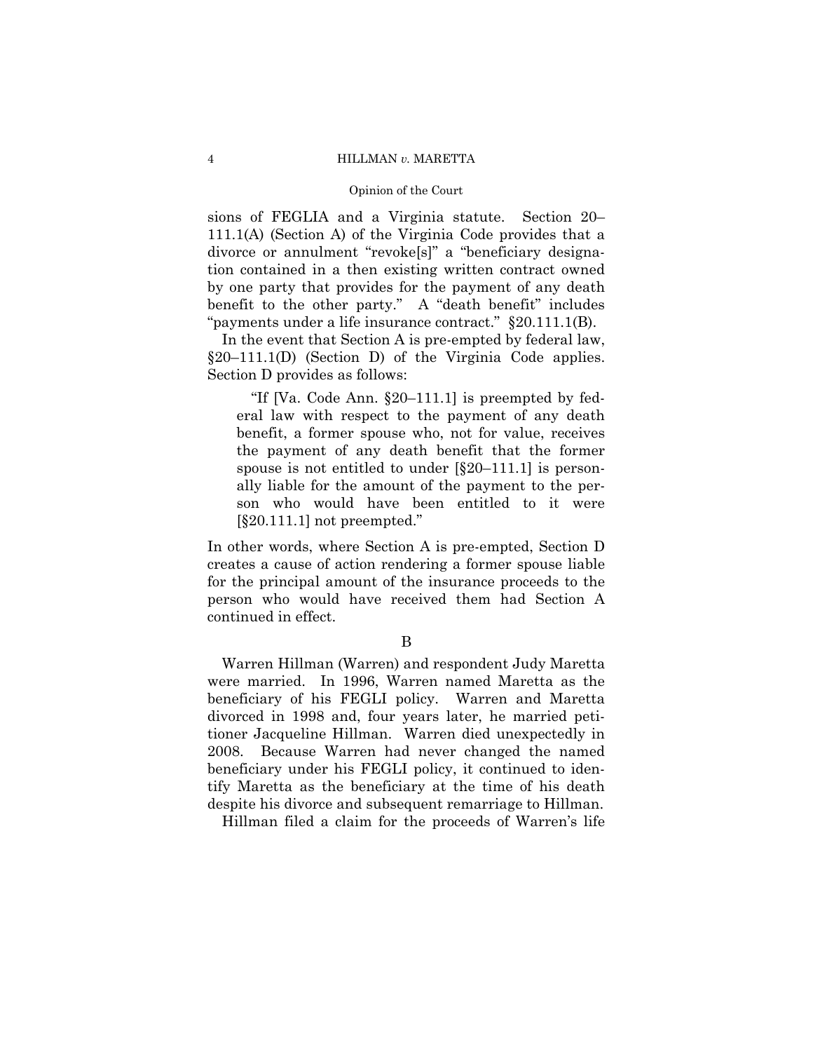sions of FEGLIA and a Virginia statute. Section 20– 111.1(A) (Section A) of the Virginia Code provides that a divorce or annulment "revoke[s]" a "beneficiary designation contained in a then existing written contract owned by one party that provides for the payment of any death benefit to the other party." A "death benefit" includes "payments under a life insurance contract." §20.111.1(B).

In the event that Section A is pre-empted by federal law, §20–111.1(D) (Section D) of the Virginia Code applies. Section D provides as follows:

"If [Va. Code Ann. §20–111.1] is preempted by federal law with respect to the payment of any death benefit, a former spouse who, not for value, receives the payment of any death benefit that the former spouse is not entitled to under  $\S20-111.1$  is personally liable for the amount of the payment to the person who would have been entitled to it were [§20.111.1] not preempted."

In other words, where Section A is pre-empted, Section D creates a cause of action rendering a former spouse liable for the principal amount of the insurance proceeds to the person who would have received them had Section A continued in effect.

# B

Warren Hillman (Warren) and respondent Judy Maretta were married. In 1996, Warren named Maretta as the beneficiary of his FEGLI policy. Warren and Maretta divorced in 1998 and, four years later, he married petitioner Jacqueline Hillman. Warren died unexpectedly in 2008. Because Warren had never changed the named beneficiary under his FEGLI policy, it continued to identify Maretta as the beneficiary at the time of his death despite his divorce and subsequent remarriage to Hillman.

Hillman filed a claim for the proceeds of Warren's life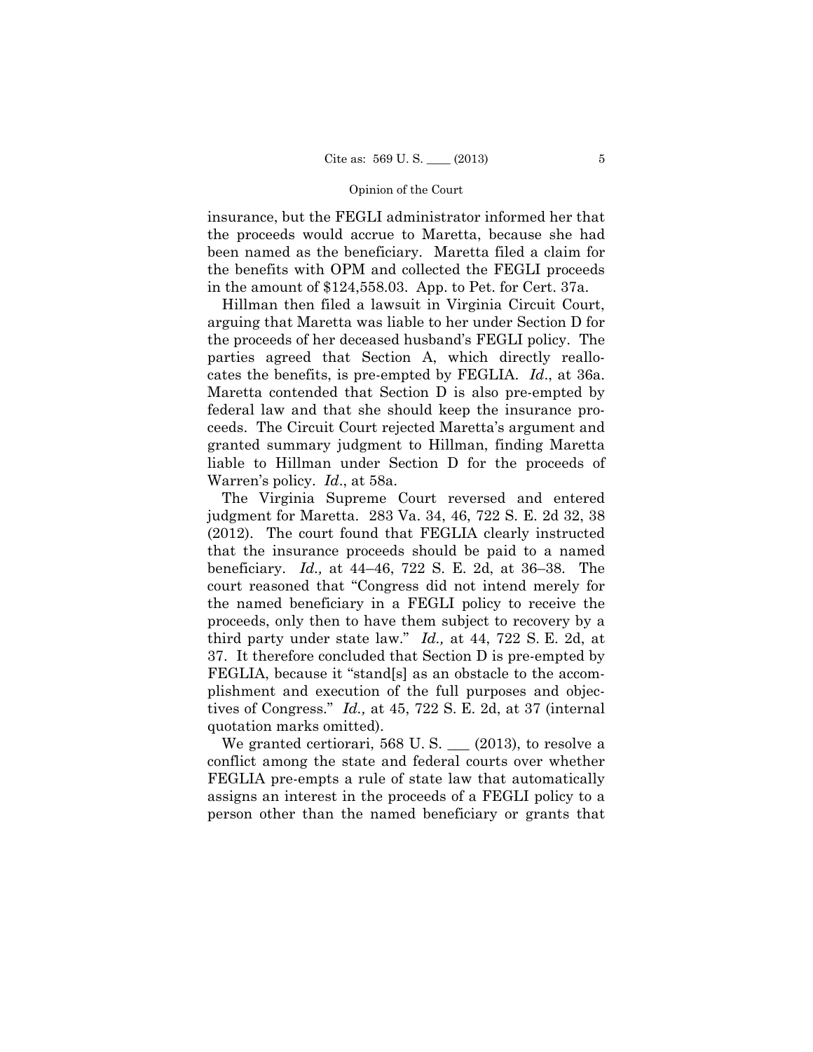insurance, but the FEGLI administrator informed her that the proceeds would accrue to Maretta, because she had been named as the beneficiary. Maretta filed a claim for the benefits with OPM and collected the FEGLI proceeds in the amount of \$124,558.03. App. to Pet. for Cert. 37a.

Hillman then filed a lawsuit in Virginia Circuit Court, arguing that Maretta was liable to her under Section D for the proceeds of her deceased husband's FEGLI policy. The parties agreed that Section A, which directly reallocates the benefits, is pre-empted by FEGLIA. *Id*., at 36a. Maretta contended that Section D is also pre-empted by federal law and that she should keep the insurance proceeds. The Circuit Court rejected Maretta's argument and granted summary judgment to Hillman, finding Maretta liable to Hillman under Section D for the proceeds of Warren's policy. *Id*., at 58a.

The Virginia Supreme Court reversed and entered judgment for Maretta. 283 Va. 34, 46, 722 S. E. 2d 32, 38 (2012). The court found that FEGLIA clearly instructed that the insurance proceeds should be paid to a named beneficiary. *Id.,* at 44–46, 722 S. E. 2d, at 36–38. The court reasoned that "Congress did not intend merely for the named beneficiary in a FEGLI policy to receive the proceeds, only then to have them subject to recovery by a third party under state law." *Id.,* at 44, 722 S. E. 2d, at 37. It therefore concluded that Section D is pre-empted by FEGLIA, because it "stand[s] as an obstacle to the accomplishment and execution of the full purposes and objectives of Congress." *Id.,* at 45, 722 S. E. 2d, at 37 (internal quotation marks omitted).

We granted certiorari, 568 U.S.  $\_\_$  (2013), to resolve a conflict among the state and federal courts over whether FEGLIA pre-empts a rule of state law that automatically assigns an interest in the proceeds of a FEGLI policy to a person other than the named beneficiary or grants that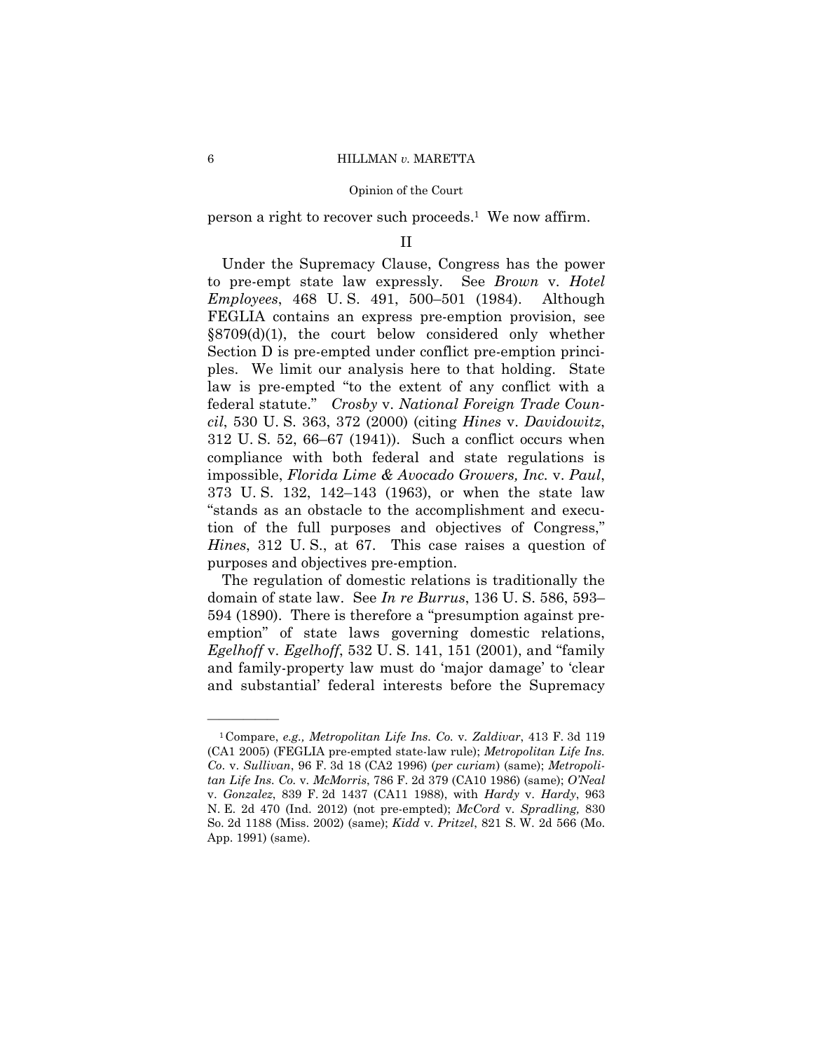person a right to recover such proceeds.1 We now affirm.

### II

Under the Supremacy Clause, Congress has the power to pre-empt state law expressly. See *Brown* v. *Hotel Employees*, 468 U. S. 491, 500–501 (1984). Although FEGLIA contains an express pre-emption provision, see §8709(d)(1), the court below considered only whether Section D is pre-empted under conflict pre-emption principles. We limit our analysis here to that holding. State law is pre-empted "to the extent of any conflict with a federal statute." *Crosby* v. *National Foreign Trade Council*, 530 U. S. 363, 372 (2000) (citing *Hines* v. *Davidowitz*, 312 U. S. 52, 66–67 (1941)). Such a conflict occurs when compliance with both federal and state regulations is impossible, *Florida Lime & Avocado Growers, Inc.* v. *Paul*, 373 U. S. 132, 142–143 (1963), or when the state law "stands as an obstacle to the accomplishment and execution of the full purposes and objectives of Congress," *Hines*, 312 U. S., at 67. This case raises a question of purposes and objectives pre-emption.

The regulation of domestic relations is traditionally the domain of state law. See *In re Burrus*, 136 U. S. 586, 593– 594 (1890). There is therefore a "presumption against preemption" of state laws governing domestic relations, *Egelhoff* v. *Egelhoff*, 532 U. S. 141, 151 (2001), and "family and family-property law must do 'major damage' to 'clear and substantial' federal interests before the Supremacy

<sup>1</sup>Compare, *e.g., Metropolitan Life Ins. Co.* v*. Zaldivar*, 413 F. 3d 119 (CA1 2005) (FEGLIA pre-empted state-law rule); *Metropolitan Life Ins. Co*. v. *Sullivan*, 96 F. 3d 18 (CA2 1996) (*per curiam*) (same); *Metropolitan Life Ins. Co.* v*. McMorris*, 786 F. 2d 379 (CA10 1986) (same); *O'Neal*  v. *Gonzalez*, 839 F. 2d 1437 (CA11 1988), with *Hardy* v. *Hardy*, 963 N. E. 2d 470 (Ind. 2012) (not pre-empted); *McCord* v*. Spradling,* 830 So. 2d 1188 (Miss. 2002) (same); *Kidd* v. *Pritzel*, 821 S. W. 2d 566 (Mo. App. 1991) (same).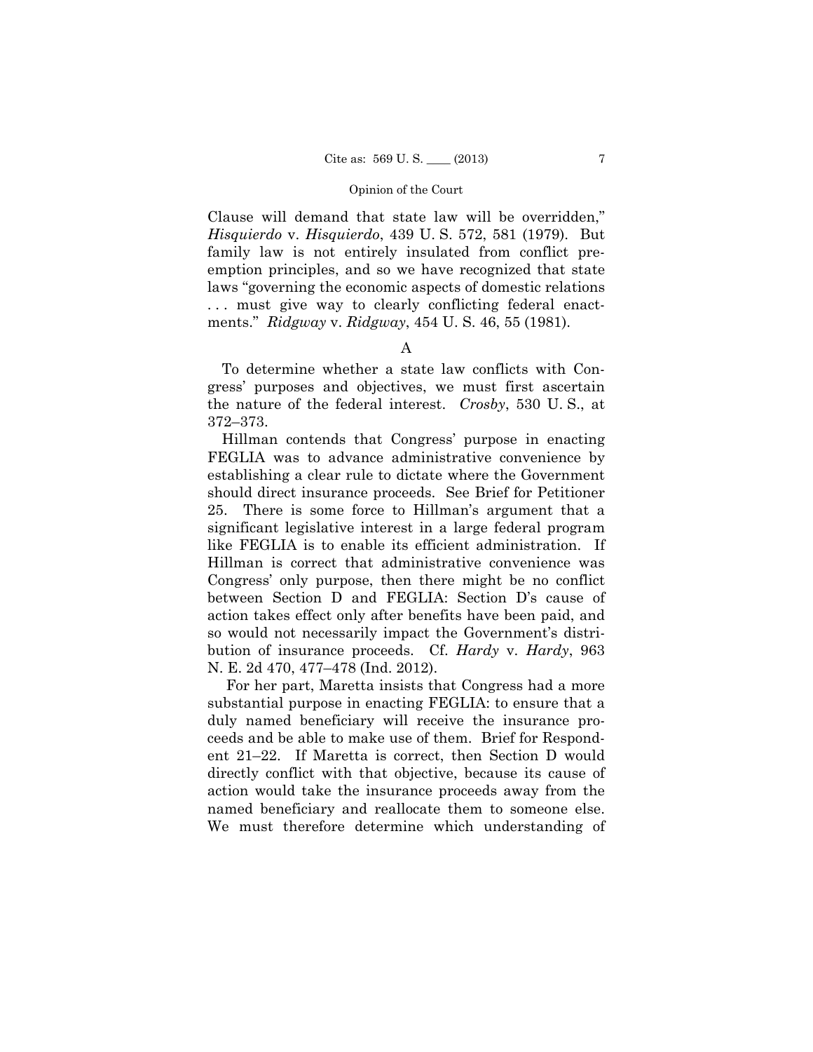Clause will demand that state law will be overridden," *Hisquierdo* v. *Hisquierdo*, 439 U. S. 572, 581 (1979). But family law is not entirely insulated from conflict preemption principles, and so we have recognized that state laws "governing the economic aspects of domestic relations ... must give way to clearly conflicting federal enactments." *Ridgway* v. *Ridgway*, 454 U. S. 46, 55 (1981).

# A

To determine whether a state law conflicts with Congress' purposes and objectives, we must first ascertain the nature of the federal interest. *Crosby*, 530 U. S., at 372–373.

Hillman contends that Congress' purpose in enacting FEGLIA was to advance administrative convenience by establishing a clear rule to dictate where the Government should direct insurance proceeds. See Brief for Petitioner 25. There is some force to Hillman's argument that a significant legislative interest in a large federal program like FEGLIA is to enable its efficient administration. If Hillman is correct that administrative convenience was Congress' only purpose, then there might be no conflict between Section D and FEGLIA: Section D's cause of action takes effect only after benefits have been paid, and so would not necessarily impact the Government's distribution of insurance proceeds. Cf. *Hardy* v. *Hardy*, 963 N. E. 2d 470, 477–478 (Ind. 2012).

For her part, Maretta insists that Congress had a more substantial purpose in enacting FEGLIA: to ensure that a duly named beneficiary will receive the insurance proceeds and be able to make use of them. Brief for Respondent 21–22. If Maretta is correct, then Section D would directly conflict with that objective, because its cause of action would take the insurance proceeds away from the named beneficiary and reallocate them to someone else. We must therefore determine which understanding of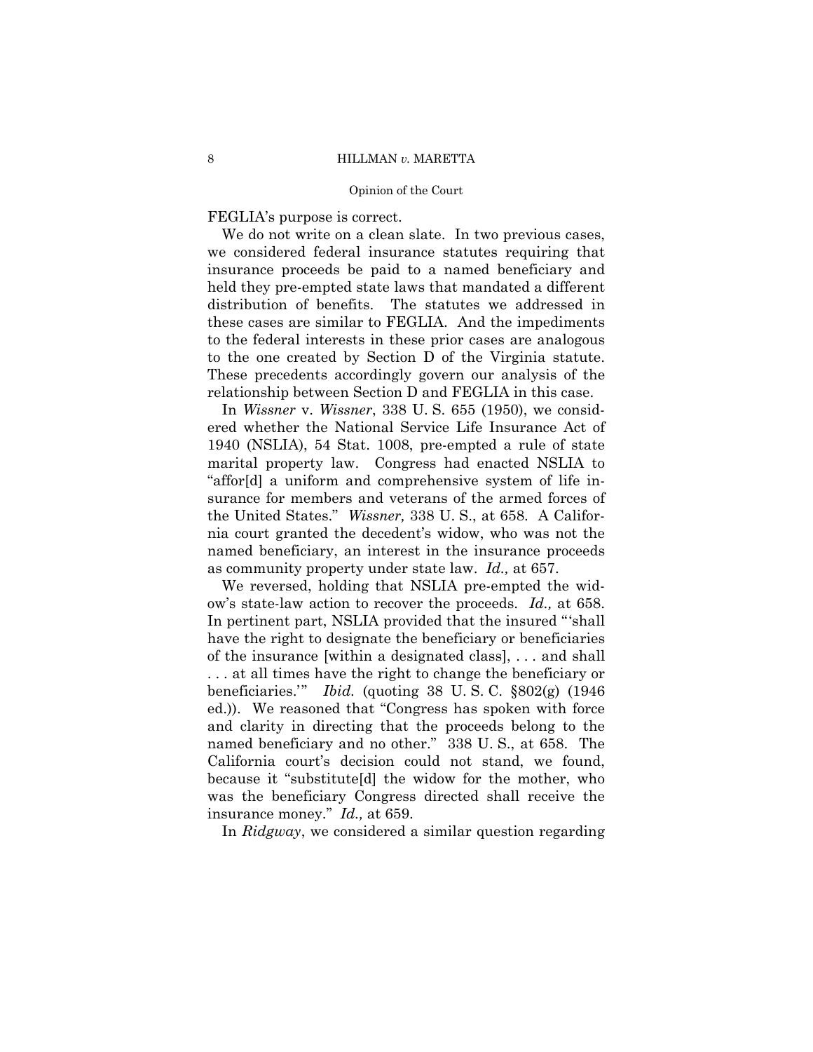FEGLIA's purpose is correct.

We do not write on a clean slate. In two previous cases, we considered federal insurance statutes requiring that insurance proceeds be paid to a named beneficiary and held they pre-empted state laws that mandated a different distribution of benefits. The statutes we addressed in these cases are similar to FEGLIA. And the impediments to the federal interests in these prior cases are analogous to the one created by Section D of the Virginia statute. These precedents accordingly govern our analysis of the relationship between Section D and FEGLIA in this case.

In *Wissner* v. *Wissner*, 338 U. S. 655 (1950), we considered whether the National Service Life Insurance Act of 1940 (NSLIA), 54 Stat. 1008, pre-empted a rule of state marital property law. Congress had enacted NSLIA to "affor[d] a uniform and comprehensive system of life insurance for members and veterans of the armed forces of the United States." *Wissner,* 338 U. S., at 658. A California court granted the decedent's widow, who was not the named beneficiary, an interest in the insurance proceeds as community property under state law. *Id.,* at 657.

named beneficiary and no other." 338 U.S., at 658. The We reversed, holding that NSLIA pre-empted the widow's state-law action to recover the proceeds. *Id.,* at 658. In pertinent part, NSLIA provided that the insured "'shall have the right to designate the beneficiary or beneficiaries of the insurance [within a designated class], . . . and shall . . . at all times have the right to change the beneficiary or beneficiaries.'" *Ibid.* (quoting 38 U. S. C. §802(g) (1946 ed.)). We reasoned that "Congress has spoken with force and clarity in directing that the proceeds belong to the California court's decision could not stand, we found, because it "substitute[d] the widow for the mother, who was the beneficiary Congress directed shall receive the insurance money." *Id.,* at 659.

In *Ridgway*, we considered a similar question regarding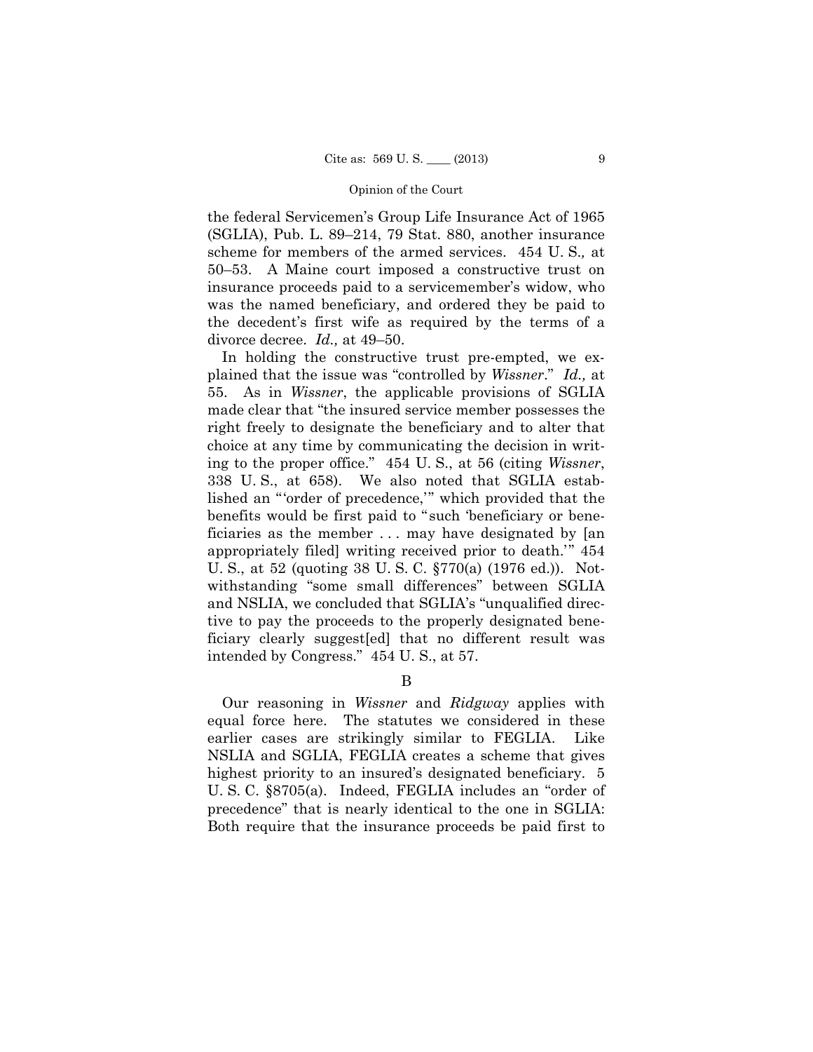the federal Servicemen's Group Life Insurance Act of 1965 (SGLIA), Pub. L. 89–214, 79 Stat. 880, another insurance scheme for members of the armed services. 454 U. S.*,* at 50–53. A Maine court imposed a constructive trust on insurance proceeds paid to a servicemember's widow, who was the named beneficiary, and ordered they be paid to the decedent's first wife as required by the terms of a divorce decree. *Id.,* at 49–50.

In holding the constructive trust pre-empted, we explained that the issue was "controlled by *Wissner*." *Id.,* at 55. As in *Wissner*, the applicable provisions of SGLIA made clear that "the insured service member possesses the right freely to designate the beneficiary and to alter that choice at any time by communicating the decision in writing to the proper office." 454 U. S., at 56 (citing *Wissner*, 338 U. S., at 658). We also noted that SGLIA established an "'order of precedence,'" which provided that the benefits would be first paid to " such 'beneficiary or beneficiaries as the member . . . may have designated by [an appropriately filed] writing received prior to death.'" 454 U. S., at 52 (quoting 38 U. S. C. §770(a) (1976 ed.)). Notwithstanding "some small differences" between SGLIA and NSLIA, we concluded that SGLIA's "unqualified directive to pay the proceeds to the properly designated beneficiary clearly suggest[ed] that no different result was intended by Congress." 454 U. S., at 57.

B

Our reasoning in *Wissner* and *Ridgway* applies with equal force here. The statutes we considered in these earlier cases are strikingly similar to FEGLIA. Like NSLIA and SGLIA, FEGLIA creates a scheme that gives highest priority to an insured's designated beneficiary. 5 U. S. C. §8705(a). Indeed, FEGLIA includes an "order of precedence" that is nearly identical to the one in SGLIA: Both require that the insurance proceeds be paid first to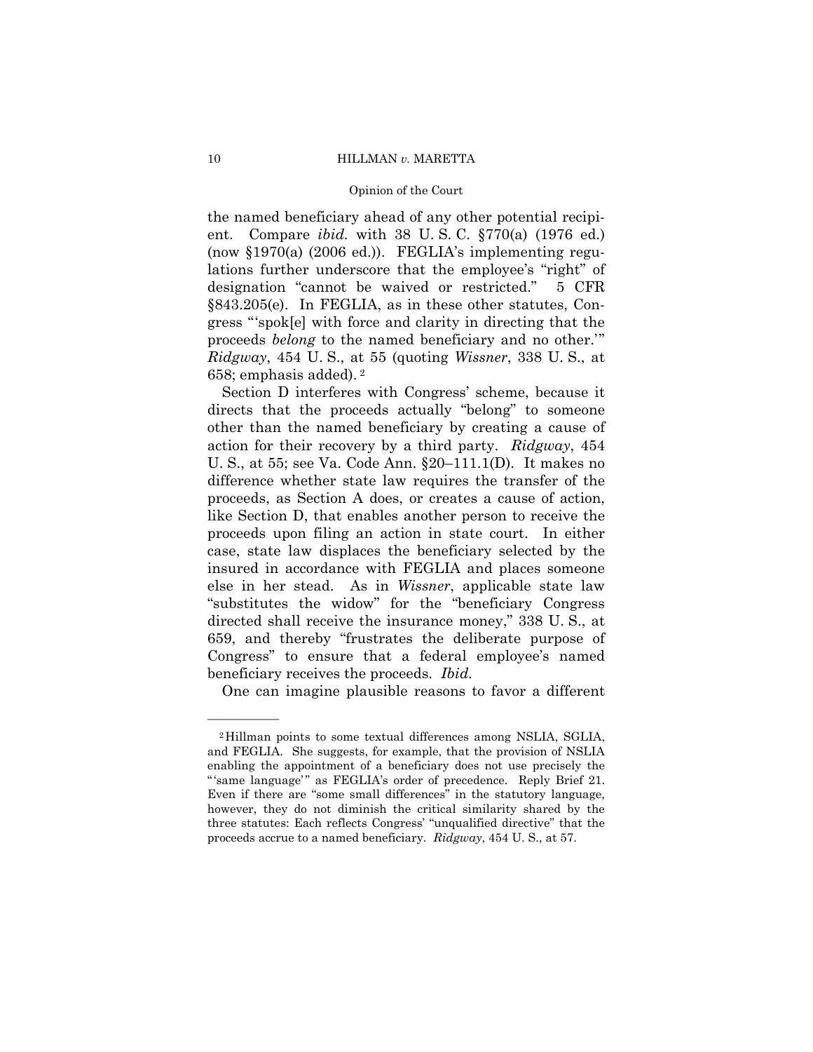#### 10 HILLMAN *v.* MARETTA

#### Opinion of the Court

the named beneficiary ahead of any other potential recipient. Compare *ibid.* with 38 U. S. C. §770(a) (1976 ed.) (now §1970(a) (2006 ed.)). FEGLIA's implementing regulations further underscore that the employee's "right" of designation "cannot be waived or restricted." 5 CFR §843.205(e). In FEGLIA, as in these other statutes, Congress "'spok[e] with force and clarity in directing that the proceeds *belong* to the named beneficiary and no other.'" *Ridgway*, 454 U. S., at 55 (quoting *Wissner*, 338 U. S., at 658; emphasis added). 2

Section D interferes with Congress' scheme, because it directs that the proceeds actually "belong" to someone other than the named beneficiary by creating a cause of action for their recovery by a third party. *Ridgway*, 454 U. S., at 55; see Va. Code Ann. §20–111.1(D). It makes no difference whether state law requires the transfer of the proceeds, as Section A does, or creates a cause of action, like Section D, that enables another person to receive the proceeds upon filing an action in state court. In either case, state law displaces the beneficiary selected by the insured in accordance with FEGLIA and places someone else in her stead. As in *Wissner*, applicable state law "substitutes the widow" for the "beneficiary Congress directed shall receive the insurance money," 338 U. S., at 659, and thereby "frustrates the deliberate purpose of Congress" to ensure that a federal employee's named beneficiary receives the proceeds. *Ibid.* 

One can imagine plausible reasons to favor a different

 proceeds accrue to a named beneficiary. *Ridgway*, 454 U. S., at 57. 2Hillman points to some textual differences among NSLIA, SGLIA, and FEGLIA. She suggests, for example, that the provision of NSLIA enabling the appointment of a beneficiary does not use precisely the "'same language'" as FEGLIA's order of precedence. Reply Brief 21. Even if there are "some small differences" in the statutory language, however, they do not diminish the critical similarity shared by the three statutes: Each reflects Congress' "unqualified directive" that the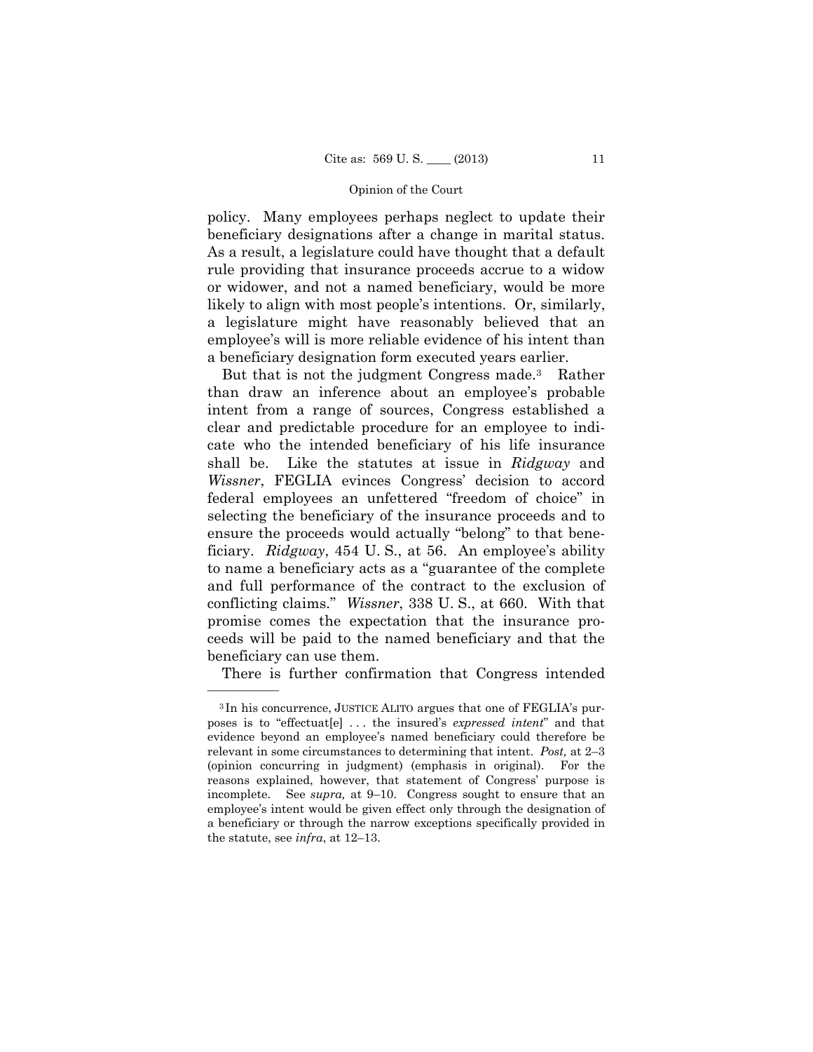policy. Many employees perhaps neglect to update their beneficiary designations after a change in marital status. As a result, a legislature could have thought that a default rule providing that insurance proceeds accrue to a widow or widower, and not a named beneficiary, would be more likely to align with most people's intentions. Or, similarly, a legislature might have reasonably believed that an employee's will is more reliable evidence of his intent than a beneficiary designation form executed years earlier.

shall be. But that is not the judgment Congress made.<sup>3</sup> Rather than draw an inference about an employee's probable intent from a range of sources, Congress established a clear and predictable procedure for an employee to indicate who the intended beneficiary of his life insurance Like the statutes at issue in *Ridgway* and *Wissner*, FEGLIA evinces Congress' decision to accord federal employees an unfettered "freedom of choice" in selecting the beneficiary of the insurance proceeds and to ensure the proceeds would actually "belong" to that beneficiary. *Ridgway*, 454 U. S., at 56. An employee's ability to name a beneficiary acts as a "guarantee of the complete and full performance of the contract to the exclusion of conflicting claims." *Wissner*, 338 U. S., at 660. With that promise comes the expectation that the insurance proceeds will be paid to the named beneficiary and that the beneficiary can use them.

There is further confirmation that Congress intended

<sup>3</sup> In his concurrence, JUSTICE ALITO argues that one of FEGLIA's purposes is to "effectuat[e] . . . the insured's *expressed intent*" and that evidence beyond an employee's named beneficiary could therefore be relevant in some circumstances to determining that intent. *Post,* at 2–3 (opinion concurring in judgment) (emphasis in original). For the reasons explained, however, that statement of Congress' purpose is incomplete. See *supra,* at 9–10. Congress sought to ensure that an employee's intent would be given effect only through the designation of a beneficiary or through the narrow exceptions specifically provided in the statute, see *infra*, at 12–13.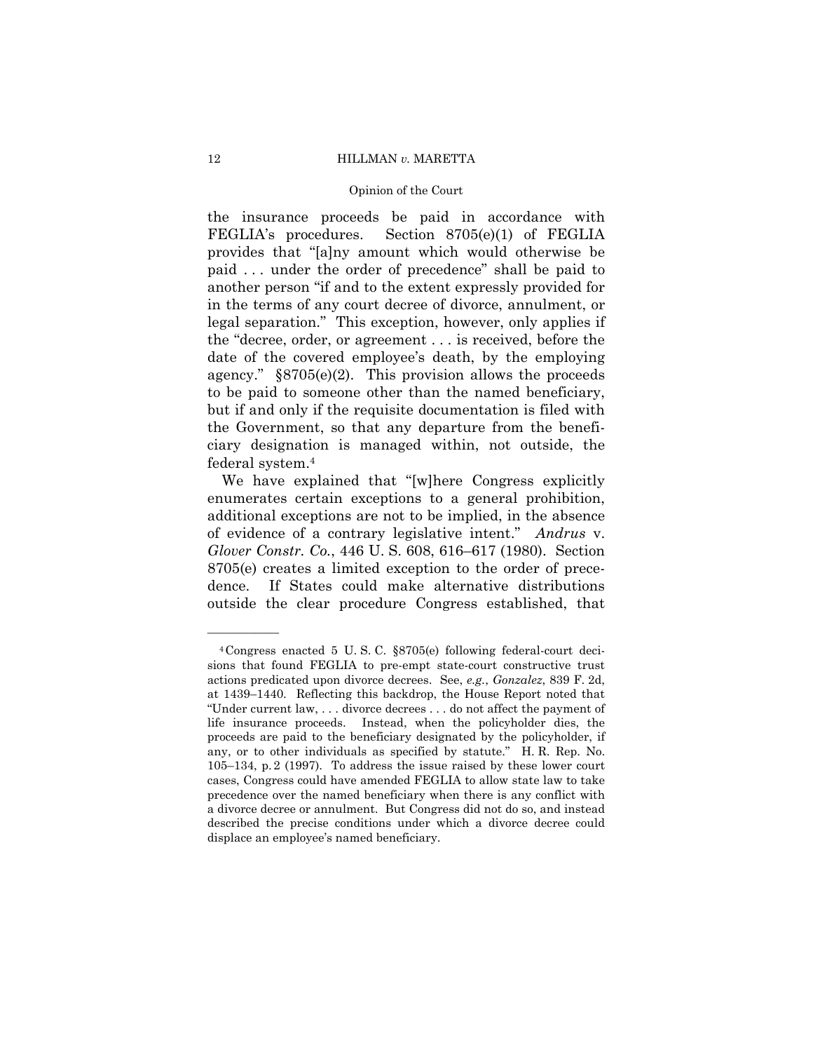#### 12 HILLMAN *v.* MARETTA

#### Opinion of the Court

the insurance proceeds be paid in accordance with FEGLIA's procedures. Section 8705(e)(1) of FEGLIA provides that "[a]ny amount which would otherwise be paid . . . under the order of precedence" shall be paid to another person "if and to the extent expressly provided for in the terms of any court decree of divorce, annulment, or legal separation." This exception, however, only applies if the "decree, order, or agreement . . . is received, before the date of the covered employee's death, by the employing agency."  $\S 8705(e)(2)$ . This provision allows the proceeds to be paid to someone other than the named beneficiary, but if and only if the requisite documentation is filed with the Government, so that any departure from the beneficiary designation is managed within, not outside, the federal system.4

We have explained that "[w]here Congress explicitly enumerates certain exceptions to a general prohibition, additional exceptions are not to be implied, in the absence of evidence of a contrary legislative intent." *Andrus* v. *Glover Constr. Co.*, 446 U. S. 608, 616–617 (1980). Section 8705(e) creates a limited exception to the order of precedence. If States could make alternative distributions outside the clear procedure Congress established, that

<sup>4</sup>Congress enacted 5 U. S. C. §8705(e) following federal-court decisions that found FEGLIA to pre-empt state-court constructive trust actions predicated upon divorce decrees. See, *e.g.*, *Gonzalez*, 839 F. 2d, at 1439–1440. Reflecting this backdrop, the House Report noted that "Under current law, . . . divorce decrees . . . do not affect the payment of life insurance proceeds. Instead, when the policyholder dies, the proceeds are paid to the beneficiary designated by the policyholder, if any, or to other individuals as specified by statute." H. R. Rep. No. 105–134, p. 2 (1997). To address the issue raised by these lower court cases, Congress could have amended FEGLIA to allow state law to take precedence over the named beneficiary when there is any conflict with a divorce decree or annulment. But Congress did not do so, and instead described the precise conditions under which a divorce decree could displace an employee's named beneficiary.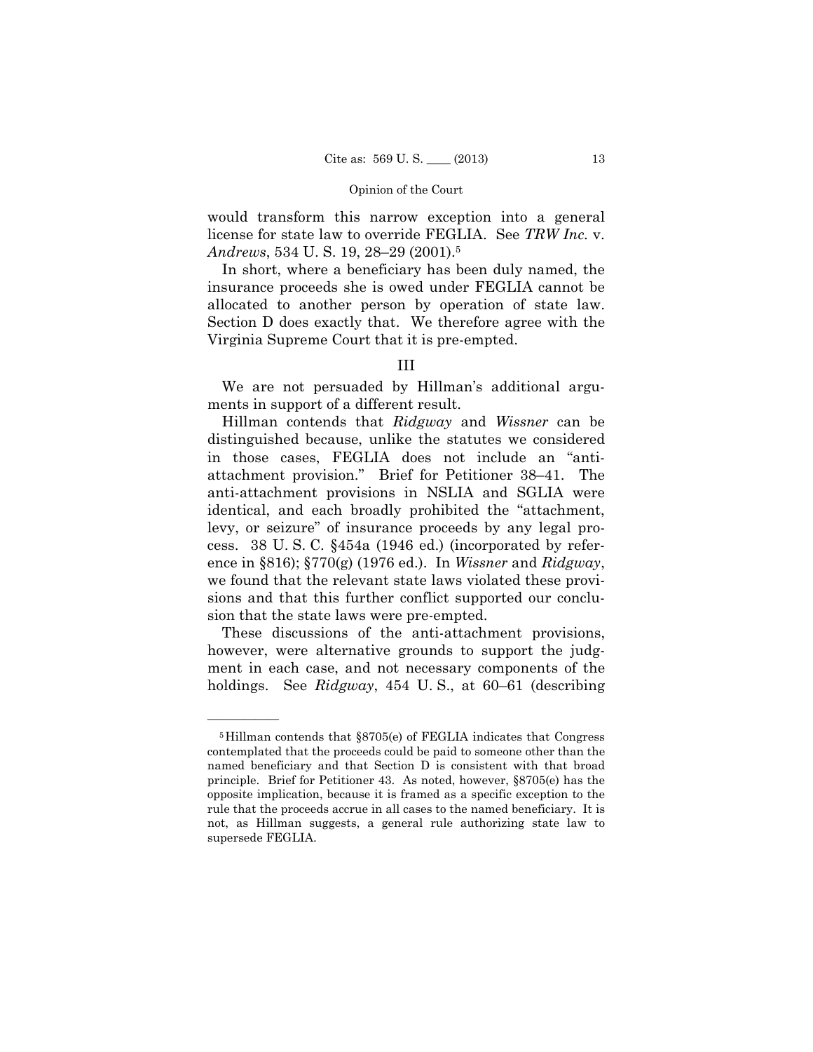would transform this narrow exception into a general license for state law to override FEGLIA. See *TRW Inc.* v. *Andrews*, 534 U. S. 19, 28–29 (2001).5

In short, where a beneficiary has been duly named, the insurance proceeds she is owed under FEGLIA cannot be allocated to another person by operation of state law. Section D does exactly that. We therefore agree with the Virginia Supreme Court that it is pre-empted.

# III

We are not persuaded by Hillman's additional arguments in support of a different result.

Hillman contends that *Ridgway* and *Wissner* can be distinguished because, unlike the statutes we considered in those cases, FEGLIA does not include an "antiattachment provision." Brief for Petitioner 38–41. The anti-attachment provisions in NSLIA and SGLIA were identical, and each broadly prohibited the "attachment, levy, or seizure" of insurance proceeds by any legal process. 38 U. S. C. §454a (1946 ed.) (incorporated by reference in §816); §770(g) (1976 ed.). In *Wissner* and *Ridgway*, we found that the relevant state laws violated these provisions and that this further conflict supported our conclusion that the state laws were pre-empted.

These discussions of the anti-attachment provisions, however, were alternative grounds to support the judgment in each case, and not necessary components of the holdings. See *Ridgway*, 454 U. S., at 60–61 (describing

 principle. Brief for Petitioner 43. As noted, however, §8705(e) has the 5Hillman contends that §8705(e) of FEGLIA indicates that Congress contemplated that the proceeds could be paid to someone other than the named beneficiary and that Section D is consistent with that broad opposite implication, because it is framed as a specific exception to the rule that the proceeds accrue in all cases to the named beneficiary. It is not, as Hillman suggests, a general rule authorizing state law to supersede FEGLIA.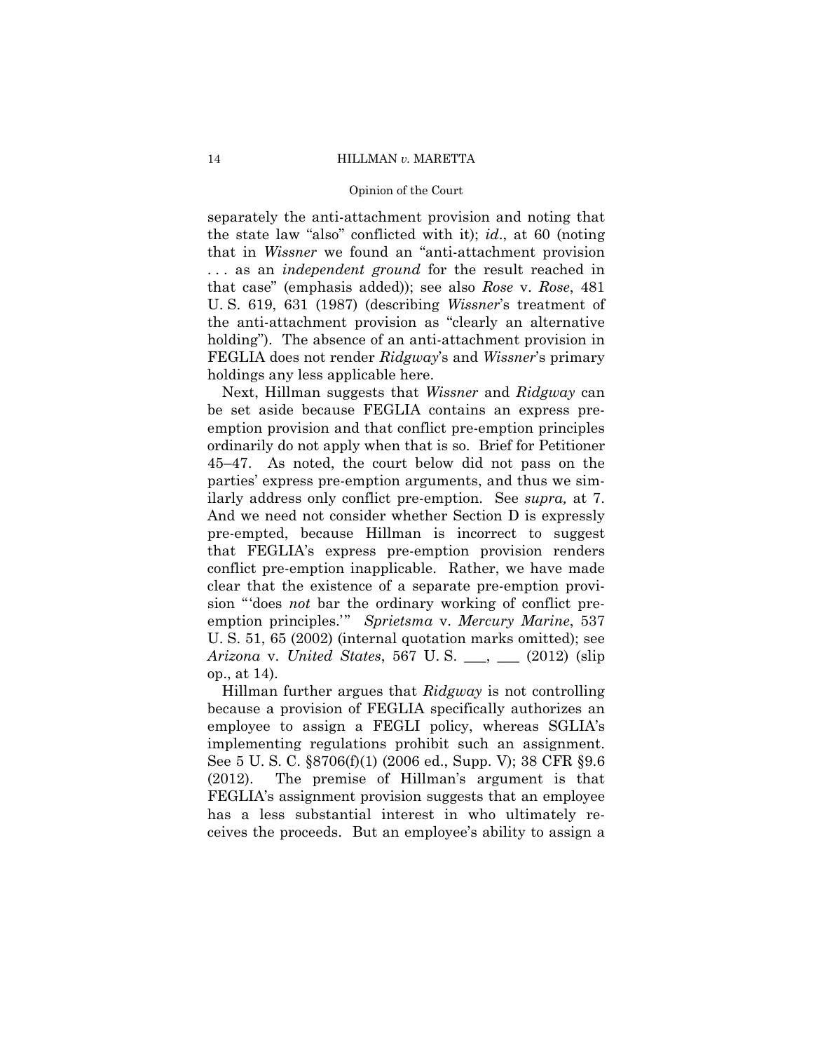separately the anti-attachment provision and noting that the state law "also" conflicted with it); *id*., at 60 (noting that in *Wissner* we found an "anti-attachment provision . . . as an *independent ground* for the result reached in that case" (emphasis added)); see also *Rose* v. *Rose*, 481 U. S. 619, 631 (1987) (describing *Wissner*'s treatment of the anti-attachment provision as "clearly an alternative holding"). The absence of an anti-attachment provision in FEGLIA does not render *Ridgway*'s and *Wissner*'s primary holdings any less applicable here.

 ordinarily do not apply when that is so. Brief for Petitioner Next, Hillman suggests that *Wissner* and *Ridgway* can be set aside because FEGLIA contains an express preemption provision and that conflict pre-emption principles 45–47. As noted, the court below did not pass on the parties' express pre-emption arguments, and thus we similarly address only conflict pre-emption. See *supra,* at 7. And we need not consider whether Section D is expressly pre-empted, because Hillman is incorrect to suggest that FEGLIA's express pre-emption provision renders conflict pre-emption inapplicable. Rather, we have made clear that the existence of a separate pre-emption provision "'does *not* bar the ordinary working of conflict preemption principles.'" *Sprietsma* v. *Mercury Marine*, 537 U. S. 51, 65 (2002) (internal quotation marks omitted); see *Arizona* v. *United States*, 567 U. S. \_\_\_, \_\_\_ (2012) (slip op., at 14).

Hillman further argues that *Ridgway* is not controlling because a provision of FEGLIA specifically authorizes an employee to assign a FEGLI policy, whereas SGLIA's implementing regulations prohibit such an assignment. See 5 U. S. C. §8706(f)(1) (2006 ed., Supp. V); 38 CFR §9.6 (2012). The premise of Hillman's argument is that FEGLIA's assignment provision suggests that an employee has a less substantial interest in who ultimately receives the proceeds. But an employee's ability to assign a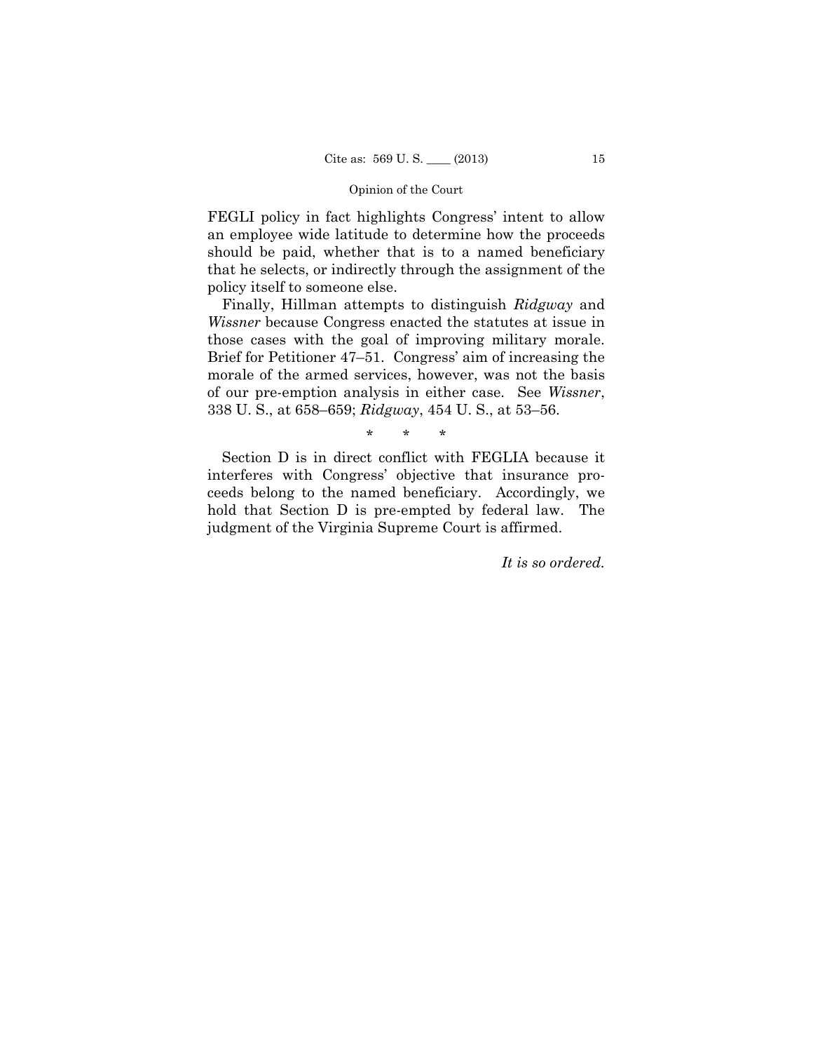FEGLI policy in fact highlights Congress' intent to allow an employee wide latitude to determine how the proceeds should be paid, whether that is to a named beneficiary that he selects, or indirectly through the assignment of the policy itself to someone else.

Finally, Hillman attempts to distinguish *Ridgway* and *Wissner* because Congress enacted the statutes at issue in those cases with the goal of improving military morale. Brief for Petitioner 47–51. Congress' aim of increasing the morale of the armed services, however, was not the basis of our pre-emption analysis in either case. See *Wissner*, 338 U. S., at 658–659; *Ridgway*, 454 U. S., at 53–56.

\* \* \*

Section D is in direct conflict with FEGLIA because it interferes with Congress' objective that insurance proceeds belong to the named beneficiary. Accordingly, we hold that Section D is pre-empted by federal law. The judgment of the Virginia Supreme Court is affirmed.

*It is so ordered.*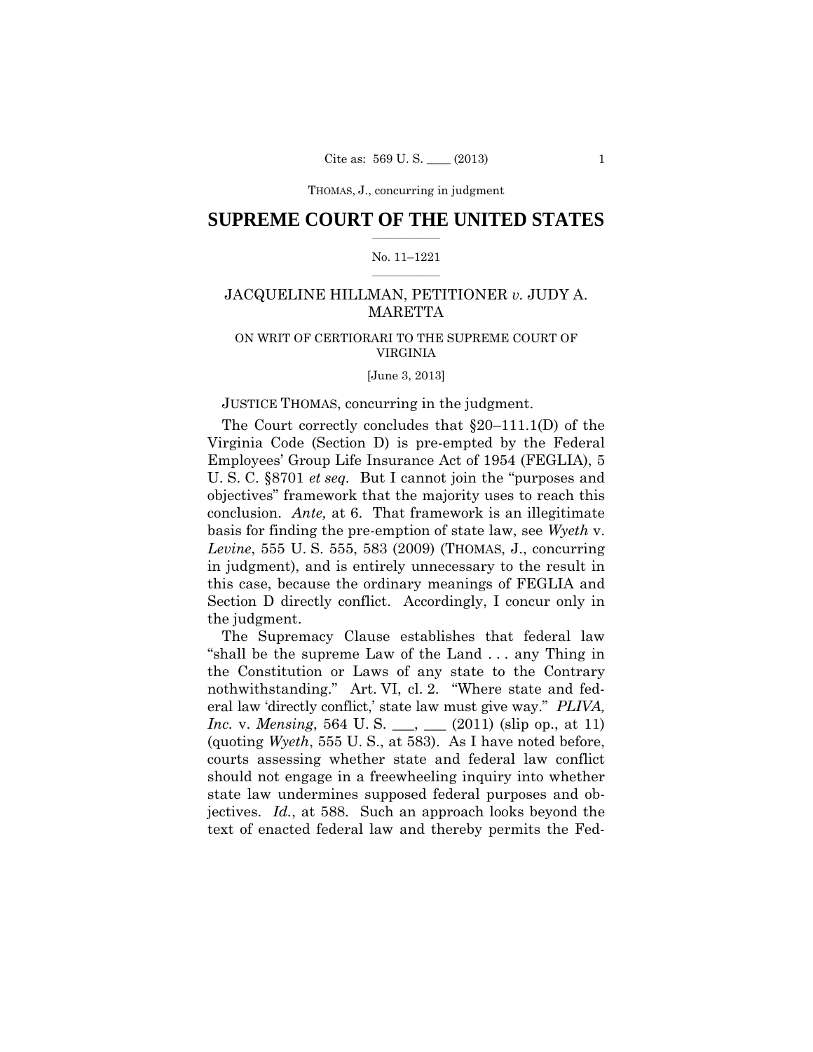# $\frac{1}{2}$  , where  $\frac{1}{2}$ **SUPREME COURT OF THE UNITED STATES**

### $\frac{1}{2}$  ,  $\frac{1}{2}$  ,  $\frac{1}{2}$  ,  $\frac{1}{2}$  ,  $\frac{1}{2}$  ,  $\frac{1}{2}$ No. 11–1221

# JACQUELINE HILLMAN, PETITIONER *v.* JUDY A. MARETTA

# ON WRIT OF CERTIORARI TO THE SUPREME COURT OF VIRGINIA

[June 3, 2013]

### JUSTICE THOMAS, concurring in the judgment.

The Court correctly concludes that §20–111.1(D) of the Virginia Code (Section D) is pre-empted by the Federal Employees' Group Life Insurance Act of 1954 (FEGLIA), 5 U. S. C. §8701 *et seq.* But I cannot join the "purposes and objectives" framework that the majority uses to reach this conclusion. *Ante,* at 6. That framework is an illegitimate basis for finding the pre-emption of state law, see *Wyeth* v. *Levine*, 555 U. S. 555, 583 (2009) (THOMAS, J., concurring in judgment), and is entirely unnecessary to the result in this case, because the ordinary meanings of FEGLIA and Section D directly conflict. Accordingly, I concur only in the judgment.

The Supremacy Clause establishes that federal law "shall be the supreme Law of the Land . . . any Thing in the Constitution or Laws of any state to the Contrary nothwithstanding." Art. VI, cl. 2. "Where state and federal law 'directly conflict,' state law must give way." *PLIVA, Inc.* v. *Mensing*, 564 U. S. (2011) (slip op., at 11) (quoting *Wyeth*, 555 U. S., at 583). As I have noted before, courts assessing whether state and federal law conflict should not engage in a freewheeling inquiry into whether state law undermines supposed federal purposes and objectives. *Id.*, at 588. Such an approach looks beyond the text of enacted federal law and thereby permits the Fed-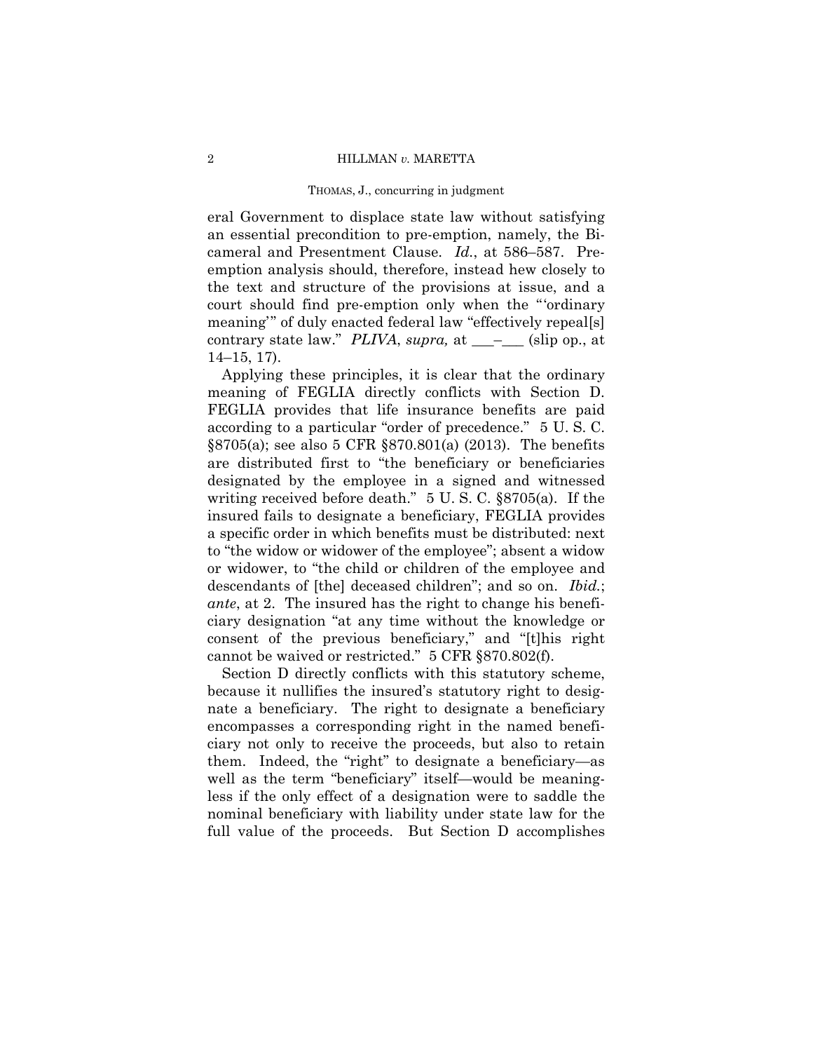eral Government to displace state law without satisfying an essential precondition to pre-emption, namely, the Bicameral and Presentment Clause. *Id.*, at 586–587. Preemption analysis should, therefore, instead hew closely to the text and structure of the provisions at issue, and a court should find pre-emption only when the "'ordinary meaning'" of duly enacted federal law "effectively repeal[s] contrary state law." *PLIVA*, *supra,* at \_\_\_–\_\_\_ (slip op., at 14–15, 17).

Applying these principles, it is clear that the ordinary meaning of FEGLIA directly conflicts with Section D. FEGLIA provides that life insurance benefits are paid according to a particular "order of precedence." 5 U. S. C. §8705(a); see also 5 CFR §870.801(a) (2013). The benefits are distributed first to "the beneficiary or beneficiaries designated by the employee in a signed and witnessed writing received before death." 5 U. S. C. §8705(a). If the insured fails to designate a beneficiary, FEGLIA provides a specific order in which benefits must be distributed: next to "the widow or widower of the employee"; absent a widow or widower, to "the child or children of the employee and descendants of [the] deceased children"; and so on. *Ibid.*; *ante*, at 2. The insured has the right to change his beneficiary designation "at any time without the knowledge or consent of the previous beneficiary," and "[t]his right cannot be waived or restricted." 5 CFR §870.802(f).

Section D directly conflicts with this statutory scheme, because it nullifies the insured's statutory right to designate a beneficiary. The right to designate a beneficiary encompasses a corresponding right in the named beneficiary not only to receive the proceeds, but also to retain them. Indeed, the "right" to designate a beneficiary—as well as the term "beneficiary" itself—would be meaningless if the only effect of a designation were to saddle the nominal beneficiary with liability under state law for the full value of the proceeds. But Section D accomplishes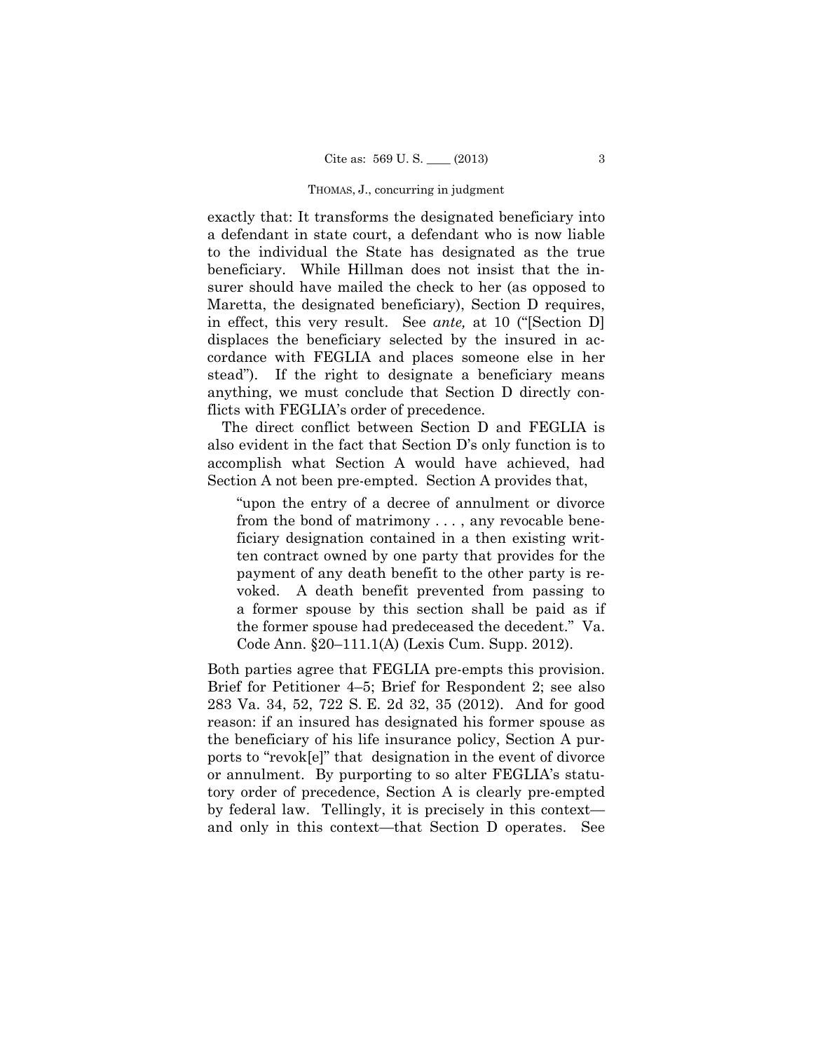exactly that: It transforms the designated beneficiary into a defendant in state court, a defendant who is now liable to the individual the State has designated as the true beneficiary. While Hillman does not insist that the insurer should have mailed the check to her (as opposed to Maretta, the designated beneficiary), Section D requires, in effect, this very result. See *ante,* at 10 ("[Section D] displaces the beneficiary selected by the insured in accordance with FEGLIA and places someone else in her stead"). If the right to designate a beneficiary means anything, we must conclude that Section D directly conflicts with FEGLIA's order of precedence.

The direct conflict between Section D and FEGLIA is also evident in the fact that Section D's only function is to accomplish what Section A would have achieved, had Section A not been pre-empted. Section A provides that,

"upon the entry of a decree of annulment or divorce from the bond of matrimony . . . , any revocable beneficiary designation contained in a then existing written contract owned by one party that provides for the payment of any death benefit to the other party is revoked. A death benefit prevented from passing to a former spouse by this section shall be paid as if the former spouse had predeceased the decedent." Va. Code Ann. §20–111.1(A) (Lexis Cum. Supp. 2012).

Both parties agree that FEGLIA pre-empts this provision. Brief for Petitioner 4–5; Brief for Respondent 2; see also 283 Va. 34, 52, 722 S. E. 2d 32, 35 (2012). And for good reason: if an insured has designated his former spouse as the beneficiary of his life insurance policy, Section A purports to "revok[e]" that designation in the event of divorce or annulment. By purporting to so alter FEGLIA's statutory order of precedence, Section A is clearly pre-empted by federal law. Tellingly, it is precisely in this context and only in this context—that Section D operates. See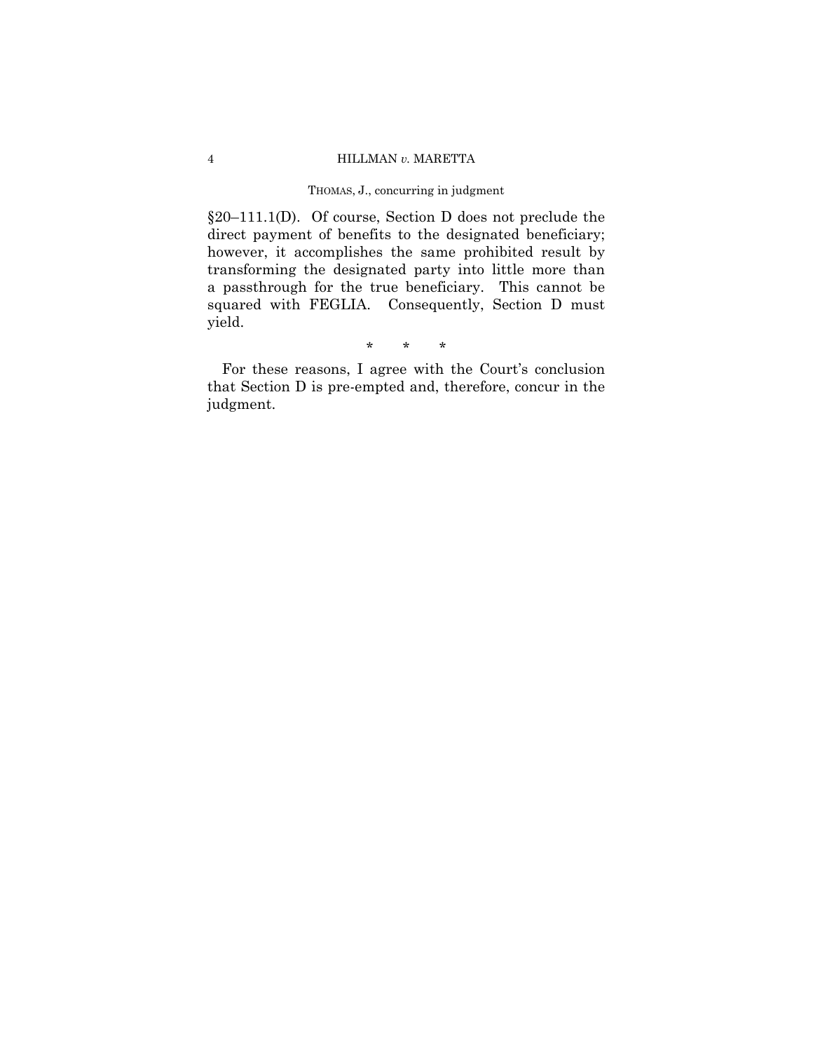§20–111.1(D). Of course, Section D does not preclude the direct payment of benefits to the designated beneficiary; however, it accomplishes the same prohibited result by transforming the designated party into little more than a passthrough for the true beneficiary. This cannot be squared with FEGLIA. Consequently, Section D must yield.

\* \* \*

For these reasons, I agree with the Court's conclusion that Section D is pre-empted and, therefore, concur in the judgment.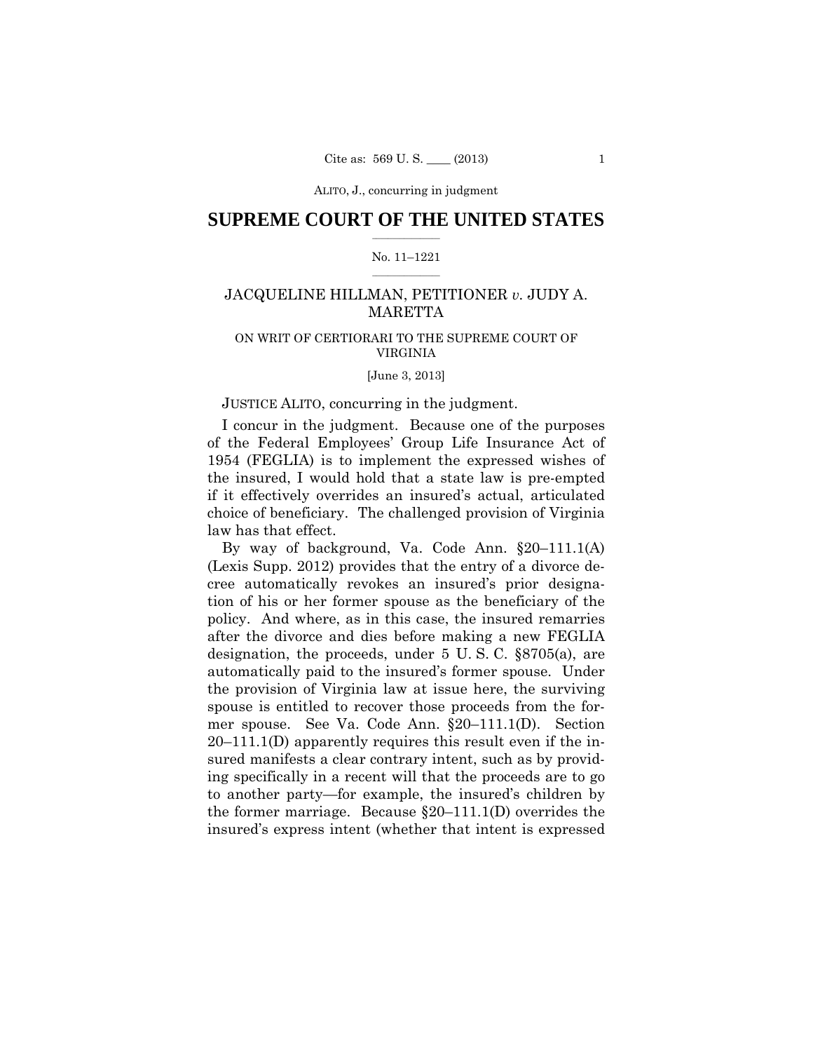ALITO, J., concurring in judgment

# $\frac{1}{2}$  , where  $\frac{1}{2}$ **SUPREME COURT OF THE UNITED STATES**

### $\frac{1}{2}$  ,  $\frac{1}{2}$  ,  $\frac{1}{2}$  ,  $\frac{1}{2}$  ,  $\frac{1}{2}$  ,  $\frac{1}{2}$ No. 11–1221

# JACQUELINE HILLMAN, PETITIONER *v.* JUDY A. **MARETTA**

# ON WRIT OF CERTIORARI TO THE SUPREME COURT OF VIRGINIA

[June 3, 2013]

### JUSTICE ALITO, concurring in the judgment.

I concur in the judgment. Because one of the purposes of the Federal Employees' Group Life Insurance Act of 1954 (FEGLIA) is to implement the expressed wishes of the insured, I would hold that a state law is pre-empted if it effectively overrides an insured's actual, articulated choice of beneficiary. The challenged provision of Virginia law has that effect.

By way of background, Va. Code Ann. §20–111.1(A) (Lexis Supp. 2012) provides that the entry of a divorce decree automatically revokes an insured's prior designation of his or her former spouse as the beneficiary of the policy. And where, as in this case, the insured remarries after the divorce and dies before making a new FEGLIA designation, the proceeds, under 5 U. S. C. §8705(a), are automatically paid to the insured's former spouse. Under the provision of Virginia law at issue here, the surviving spouse is entitled to recover those proceeds from the former spouse. See Va. Code Ann. §20–111.1(D). Section 20–111.1(D) apparently requires this result even if the insured manifests a clear contrary intent, such as by providing specifically in a recent will that the proceeds are to go to another party—for example, the insured's children by the former marriage. Because §20–111.1(D) overrides the insured's express intent (whether that intent is expressed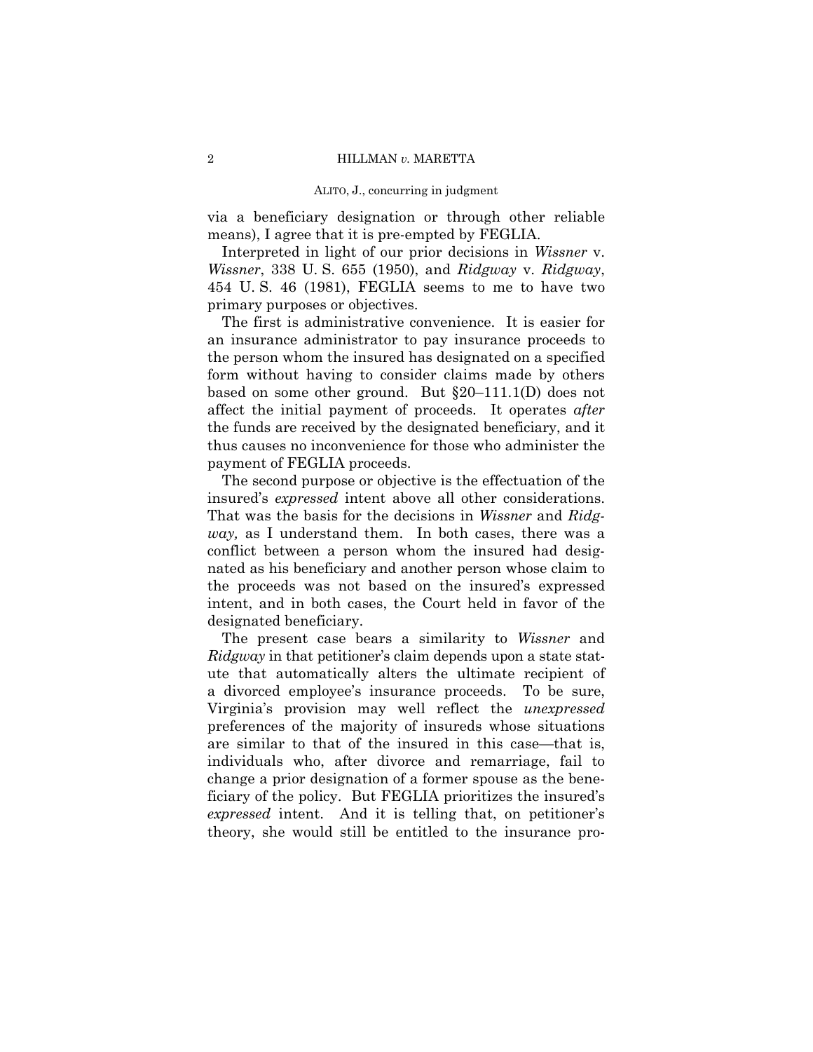#### ALITO, J., concurring in judgment

via a beneficiary designation or through other reliable means), I agree that it is pre-empted by FEGLIA.

Interpreted in light of our prior decisions in *Wissner* v. *Wissner*, 338 U. S. 655 (1950), and *Ridgway* v. *Ridgway*, 454 U. S. 46 (1981), FEGLIA seems to me to have two primary purposes or objectives.

The first is administrative convenience. It is easier for an insurance administrator to pay insurance proceeds to the person whom the insured has designated on a specified form without having to consider claims made by others based on some other ground. But §20–111.1(D) does not affect the initial payment of proceeds. It operates *after*  the funds are received by the designated beneficiary, and it thus causes no inconvenience for those who administer the payment of FEGLIA proceeds.

The second purpose or objective is the effectuation of the insured's *expressed* intent above all other considerations. That was the basis for the decisions in *Wissner* and *Ridgway,* as I understand them. In both cases, there was a conflict between a person whom the insured had designated as his beneficiary and another person whose claim to the proceeds was not based on the insured's expressed intent, and in both cases, the Court held in favor of the designated beneficiary.

The present case bears a similarity to *Wissner* and *Ridgway* in that petitioner's claim depends upon a state statute that automatically alters the ultimate recipient of a divorced employee's insurance proceeds. To be sure, Virginia's provision may well reflect the *unexpressed* preferences of the majority of insureds whose situations are similar to that of the insured in this case—that is, individuals who, after divorce and remarriage, fail to change a prior designation of a former spouse as the beneficiary of the policy. But FEGLIA prioritizes the insured's *expressed* intent. And it is telling that, on petitioner's theory, she would still be entitled to the insurance pro-